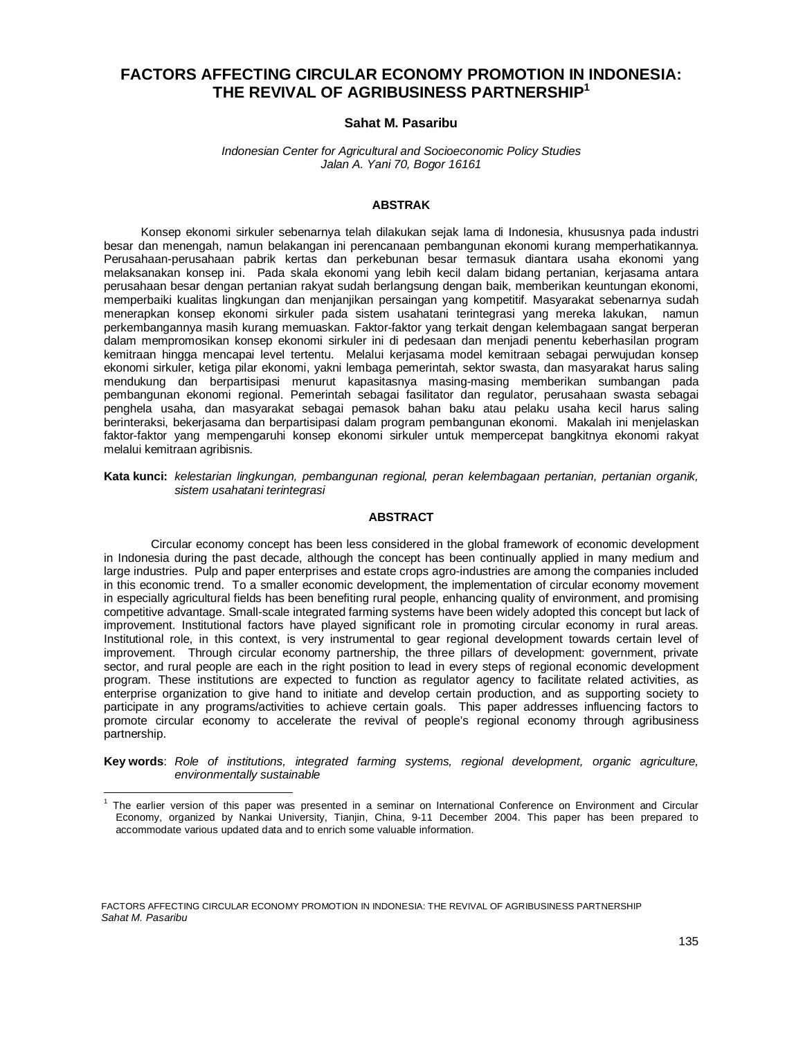# **FACTORS AFFECTING CIRCULAR ECONOMY PROMOTION IN INDONESIA: THE REVIVAL OF AGRIBUSINESS PARTNERSHIP1**

# **Sahat M. Pasaribu**

#### *Indonesian Center for Agricultural and Socioeconomic Policy Studies Jalan A. Yani 70, Bogor 16161*

#### **ABSTRAK**

Konsep ekonomi sirkuler sebenarnya telah dilakukan sejak lama di Indonesia, khususnya pada industri besar dan menengah, namun belakangan ini perencanaan pembangunan ekonomi kurang memperhatikannya. Perusahaan-perusahaan pabrik kertas dan perkebunan besar termasuk diantara usaha ekonomi yang melaksanakan konsep ini. Pada skala ekonomi yang lebih kecil dalam bidang pertanian, kerjasama antara perusahaan besar dengan pertanian rakyat sudah berlangsung dengan baik, memberikan keuntungan ekonomi, memperbaiki kualitas lingkungan dan menjanjikan persaingan yang kompetitif. Masyarakat sebenarnya sudah menerapkan konsep ekonomi sirkuler pada sistem usahatani terintegrasi yang mereka lakukan, namun perkembangannya masih kurang memuaskan. Faktor-faktor yang terkait dengan kelembagaan sangat berperan dalam mempromosikan konsep ekonomi sirkuler ini di pedesaan dan menjadi penentu keberhasilan program kemitraan hingga mencapai level tertentu. Melalui kerjasama model kemitraan sebagai perwujudan konsep ekonomi sirkuler, ketiga pilar ekonomi, yakni lembaga pemerintah, sektor swasta, dan masyarakat harus saling mendukung dan berpartisipasi menurut kapasitasnya masing-masing memberikan sumbangan pada pembangunan ekonomi regional. Pemerintah sebagai fasilitator dan regulator, perusahaan swasta sebagai penghela usaha, dan masyarakat sebagai pemasok bahan baku atau pelaku usaha kecil harus saling berinteraksi, bekerjasama dan berpartisipasi dalam program pembangunan ekonomi. Makalah ini menjelaskan faktor-faktor yang mempengaruhi konsep ekonomi sirkuler untuk mempercepat bangkitnya ekonomi rakyat melalui kemitraan agribisnis.

#### **Kata kunci:** *kelestarian lingkungan, pembangunan regional, peran kelembagaan pertanian, pertanian organik, sistem usahatani terintegrasi*

#### **ABSTRACT**

Circular economy concept has been less considered in the global framework of economic development in Indonesia during the past decade, although the concept has been continually applied in many medium and large industries. Pulp and paper enterprises and estate crops agro-industries are among the companies included in this economic trend. To a smaller economic development, the implementation of circular economy movement in especially agricultural fields has been benefiting rural people, enhancing quality of environment, and promising competitive advantage. Small-scale integrated farming systems have been widely adopted this concept but lack of improvement. Institutional factors have played significant role in promoting circular economy in rural areas. Institutional role, in this context, is very instrumental to gear regional development towards certain level of improvement. Through circular economy partnership, the three pillars of development: government, private sector, and rural people are each in the right position to lead in every steps of regional economic development program. These institutions are expected to function as regulator agency to facilitate related activities, as enterprise organization to give hand to initiate and develop certain production, and as supporting society to participate in any programs/activities to achieve certain goals. This paper addresses influencing factors to promote circular economy to accelerate the revival of people's regional economy through agribusiness partnership.

**Key words**: *Role of institutions, integrated farming systems, regional development, organic agriculture, environmentally sustainable*

FACTORS AFFECTING CIRCULAR ECONOMY PROMOTION IN INDONESIA: THE REVIVAL OF AGRIBUSINESS PARTNERSHIP *Sahat M. Pasaribu*

 $\overline{a}$ 

<sup>&</sup>lt;sup>1</sup> The earlier version of this paper was presented in a seminar on International Conference on Environment and Circular Economy, organized by Nankai University, Tianjin, China, 9-11 December 2004. This paper has been prepared to accommodate various updated data and to enrich some valuable information.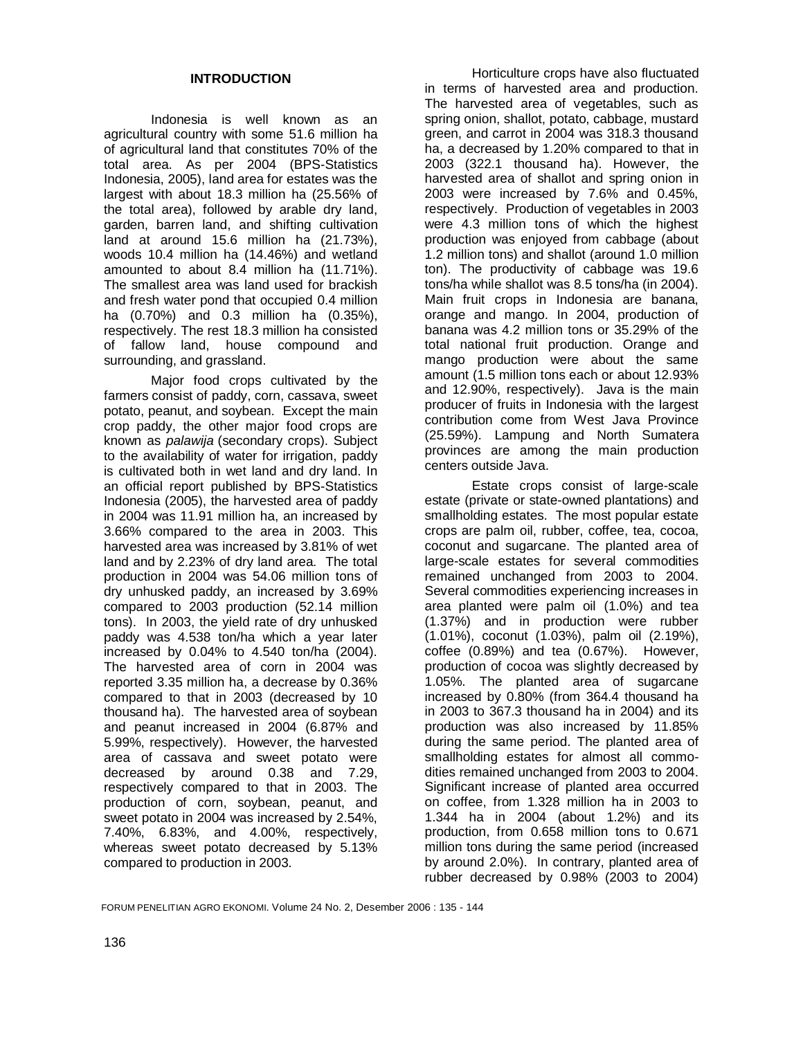Indonesia is well known as an agricultural country with some 51.6 million ha of agricultural land that constitutes 70% of the total area. As per 2004 (BPS-Statistics Indonesia, 2005), land area for estates was the largest with about 18.3 million ha (25.56% of the total area), followed by arable dry land, garden, barren land, and shifting cultivation land at around 15.6 million ha (21.73%), woods 10.4 million ha (14.46%) and wetland amounted to about 8.4 million ha (11.71%). The smallest area was land used for brackish and fresh water pond that occupied 0.4 million ha (0.70%) and 0.3 million ha (0.35%), respectively. The rest 18.3 million ha consisted of fallow land, house compound and surrounding, and grassland.

 Major food crops cultivated by the farmers consist of paddy, corn, cassava, sweet potato, peanut, and soybean. Except the main crop paddy, the other major food crops are known as *palawija* (secondary crops). Subject to the availability of water for irrigation, paddy is cultivated both in wet land and dry land. In an official report published by BPS-Statistics Indonesia (2005), the harvested area of paddy in 2004 was 11.91 million ha, an increased by 3.66% compared to the area in 2003. This harvested area was increased by 3.81% of wet land and by 2.23% of dry land area. The total production in 2004 was 54.06 million tons of dry unhusked paddy, an increased by 3.69% compared to 2003 production (52.14 million tons). In 2003, the yield rate of dry unhusked paddy was 4.538 ton/ha which a year later increased by 0.04% to 4.540 ton/ha (2004). The harvested area of corn in 2004 was reported 3.35 million ha, a decrease by 0.36% compared to that in 2003 (decreased by 10 thousand ha). The harvested area of soybean and peanut increased in 2004 (6.87% and 5.99%, respectively). However, the harvested area of cassava and sweet potato were decreased by around 0.38 and 7.29, respectively compared to that in 2003. The production of corn, soybean, peanut, and sweet potato in 2004 was increased by 2.54%, 7.40%, 6.83%, and 4.00%, respectively, whereas sweet potato decreased by 5.13% compared to production in 2003.

 Horticulture crops have also fluctuated in terms of harvested area and production. The harvested area of vegetables, such as spring onion, shallot, potato, cabbage, mustard green, and carrot in 2004 was 318.3 thousand ha, a decreased by 1.20% compared to that in 2003 (322.1 thousand ha). However, the harvested area of shallot and spring onion in 2003 were increased by 7.6% and 0.45%, respectively. Production of vegetables in 2003 were 4.3 million tons of which the highest production was enjoyed from cabbage (about 1.2 million tons) and shallot (around 1.0 million ton). The productivity of cabbage was 19.6 tons/ha while shallot was 8.5 tons/ha (in 2004). Main fruit crops in Indonesia are banana, orange and mango. In 2004, production of banana was 4.2 million tons or 35.29% of the total national fruit production. Orange and mango production were about the same amount (1.5 million tons each or about 12.93% and 12.90%, respectively). Java is the main producer of fruits in Indonesia with the largest contribution come from West Java Province (25.59%). Lampung and North Sumatera provinces are among the main production centers outside Java.

Estate crops consist of large-scale estate (private or state-owned plantations) and smallholding estates. The most popular estate crops are palm oil, rubber, coffee, tea, cocoa, coconut and sugarcane. The planted area of large-scale estates for several commodities remained unchanged from 2003 to 2004. Several commodities experiencing increases in area planted were palm oil (1.0%) and tea (1.37%) and in production were rubber (1.01%), coconut (1.03%), palm oil (2.19%), coffee (0.89%) and tea (0.67%). However, production of cocoa was slightly decreased by 1.05%. The planted area of sugarcane increased by 0.80% (from 364.4 thousand ha in 2003 to 367.3 thousand ha in 2004) and its production was also increased by 11.85% during the same period. The planted area of smallholding estates for almost all commodities remained unchanged from 2003 to 2004. Significant increase of planted area occurred on coffee, from 1.328 million ha in 2003 to 1.344 ha in 2004 (about 1.2%) and its production, from 0.658 million tons to 0.671 million tons during the same period (increased by around 2.0%). In contrary, planted area of rubber decreased by 0.98% (2003 to 2004)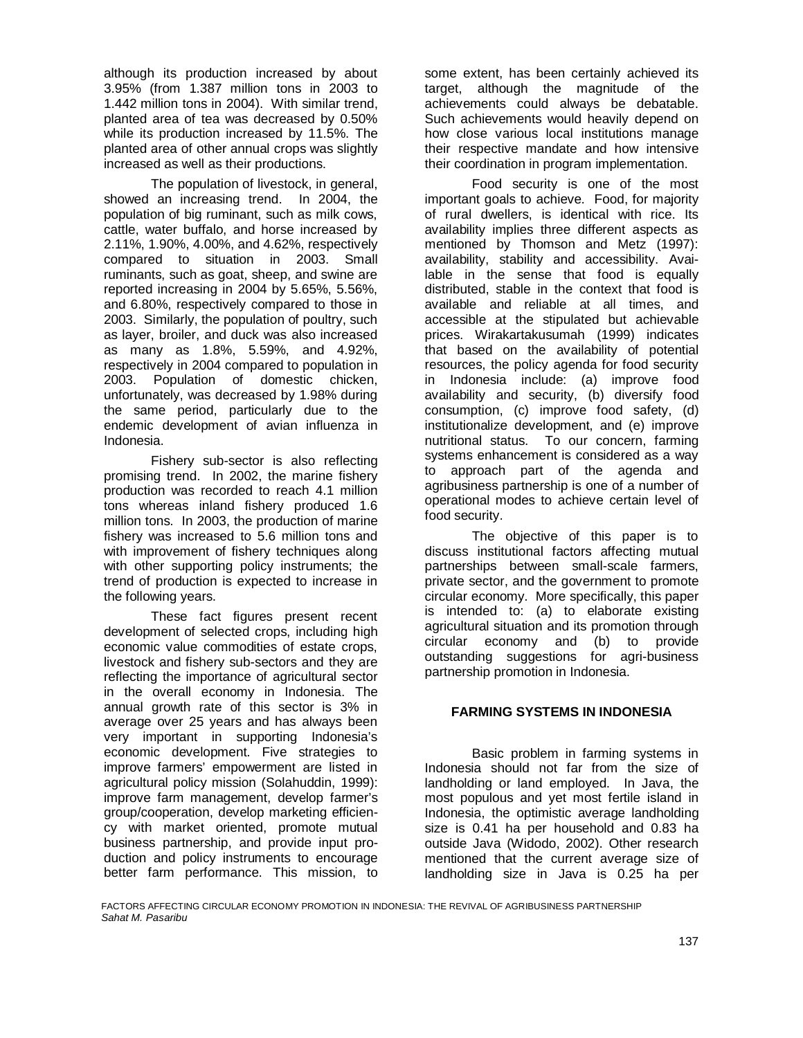although its production increased by about 3.95% (from 1.387 million tons in 2003 to 1.442 million tons in 2004). With similar trend, planted area of tea was decreased by 0.50% while its production increased by 11.5%. The planted area of other annual crops was slightly increased as well as their productions.

 The population of livestock, in general, showed an increasing trend. In 2004, the population of big ruminant, such as milk cows, cattle, water buffalo, and horse increased by 2.11%, 1.90%, 4.00%, and 4.62%, respectively compared to situation in 2003. Small ruminants, such as goat, sheep, and swine are reported increasing in 2004 by 5.65%, 5.56%, and 6.80%, respectively compared to those in 2003. Similarly, the population of poultry, such as layer, broiler, and duck was also increased as many as 1.8%, 5.59%, and 4.92%, respectively in 2004 compared to population in 2003. Population of domestic chicken, unfortunately, was decreased by 1.98% during the same period, particularly due to the endemic development of avian influenza in Indonesia.

 Fishery sub-sector is also reflecting promising trend. In 2002, the marine fishery production was recorded to reach 4.1 million tons whereas inland fishery produced 1.6 million tons. In 2003, the production of marine fishery was increased to 5.6 million tons and with improvement of fishery techniques along with other supporting policy instruments; the trend of production is expected to increase in the following years.

 These fact figures present recent development of selected crops, including high economic value commodities of estate crops, livestock and fishery sub-sectors and they are reflecting the importance of agricultural sector in the overall economy in Indonesia. The annual growth rate of this sector is 3% in average over 25 years and has always been very important in supporting Indonesia's economic development. Five strategies to improve farmers' empowerment are listed in agricultural policy mission (Solahuddin, 1999): improve farm management, develop farmer's group/cooperation, develop marketing efficiency with market oriented, promote mutual business partnership, and provide input production and policy instruments to encourage better farm performance. This mission, to

some extent, has been certainly achieved its target, although the magnitude of the achievements could always be debatable. Such achievements would heavily depend on how close various local institutions manage their respective mandate and how intensive their coordination in program implementation.

Food security is one of the most important goals to achieve. Food, for majority of rural dwellers, is identical with rice. Its availability implies three different aspects as mentioned by Thomson and Metz (1997): availability, stability and accessibility. Available in the sense that food is equally distributed, stable in the context that food is available and reliable at all times, and accessible at the stipulated but achievable prices. Wirakartakusumah (1999) indicates that based on the availability of potential resources, the policy agenda for food security in Indonesia include: (a) improve food availability and security, (b) diversify food consumption, (c) improve food safety, (d) institutionalize development, and (e) improve nutritional status. To our concern, farming systems enhancement is considered as a way to approach part of the agenda and agribusiness partnership is one of a number of operational modes to achieve certain level of food security.

The objective of this paper is to discuss institutional factors affecting mutual partnerships between small-scale farmers, private sector, and the government to promote circular economy. More specifically, this paper is intended to: (a) to elaborate existing agricultural situation and its promotion through circular economy and (b) to provide outstanding suggestions for agri-business partnership promotion in Indonesia.

### **FARMING SYSTEMS IN INDONESIA**

 Basic problem in farming systems in Indonesia should not far from the size of landholding or land employed. In Java, the most populous and yet most fertile island in Indonesia, the optimistic average landholding size is 0.41 ha per household and 0.83 ha outside Java (Widodo, 2002). Other research mentioned that the current average size of landholding size in Java is 0.25 ha per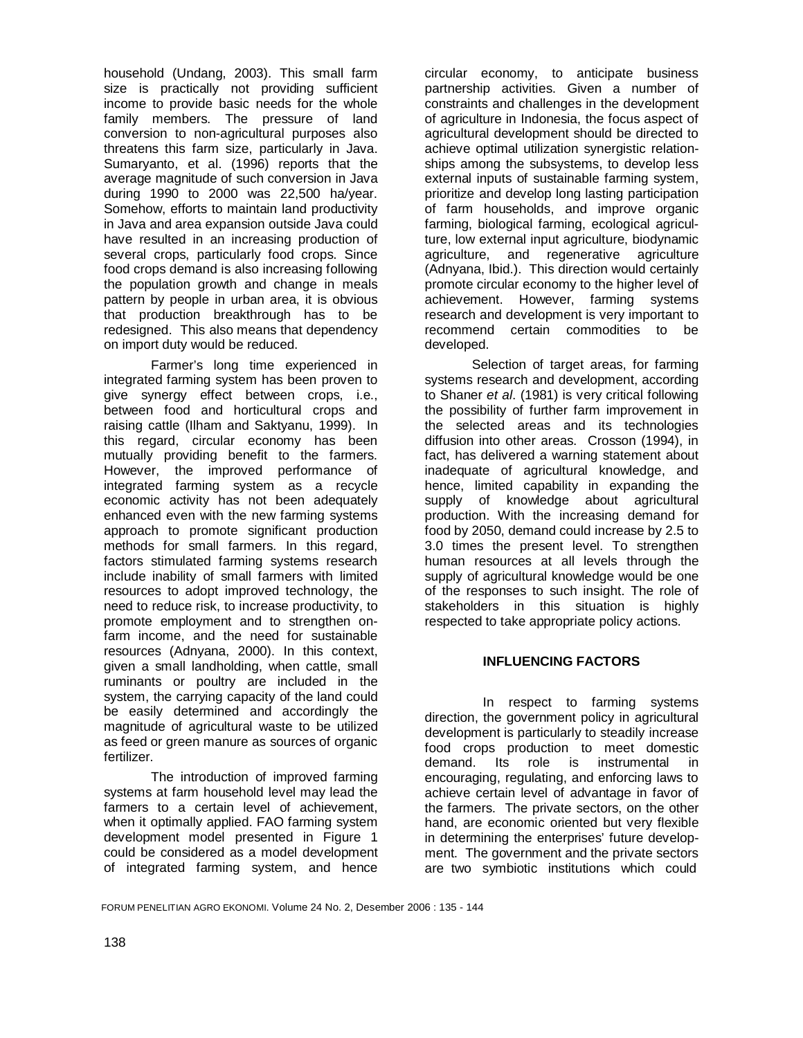household (Undang, 2003). This small farm size is practically not providing sufficient income to provide basic needs for the whole family members. The pressure of land conversion to non-agricultural purposes also threatens this farm size, particularly in Java. Sumaryanto, et al. (1996) reports that the average magnitude of such conversion in Java during 1990 to 2000 was 22,500 ha/year. Somehow, efforts to maintain land productivity in Java and area expansion outside Java could have resulted in an increasing production of several crops, particularly food crops. Since food crops demand is also increasing following the population growth and change in meals pattern by people in urban area, it is obvious that production breakthrough has to be redesigned. This also means that dependency on import duty would be reduced.

 Farmer's long time experienced in integrated farming system has been proven to give synergy effect between crops, i.e., between food and horticultural crops and raising cattle (Ilham and Saktyanu, 1999). In this regard, circular economy has been mutually providing benefit to the farmers. However, the improved performance of integrated farming system as a recycle economic activity has not been adequately enhanced even with the new farming systems approach to promote significant production methods for small farmers. In this regard, factors stimulated farming systems research include inability of small farmers with limited resources to adopt improved technology, the need to reduce risk, to increase productivity, to promote employment and to strengthen onfarm income, and the need for sustainable resources (Adnyana, 2000). In this context, given a small landholding, when cattle, small ruminants or poultry are included in the system, the carrying capacity of the land could be easily determined and accordingly the magnitude of agricultural waste to be utilized as feed or green manure as sources of organic fertilizer.

 The introduction of improved farming systems at farm household level may lead the farmers to a certain level of achievement, when it optimally applied. FAO farming system development model presented in Figure 1 could be considered as a model development of integrated farming system, and hence

circular economy, to anticipate business partnership activities. Given a number of constraints and challenges in the development of agriculture in Indonesia, the focus aspect of agricultural development should be directed to achieve optimal utilization synergistic relationships among the subsystems, to develop less external inputs of sustainable farming system, prioritize and develop long lasting participation of farm households, and improve organic farming, biological farming, ecological agriculture, low external input agriculture, biodynamic agriculture, and regenerative agriculture (Adnyana, Ibid.). This direction would certainly promote circular economy to the higher level of achievement. However, farming systems research and development is very important to recommend certain commodities to be developed.

Selection of target areas, for farming systems research and development, according to Shaner *et al*. (1981) is very critical following the possibility of further farm improvement in the selected areas and its technologies diffusion into other areas. Crosson (1994), in fact, has delivered a warning statement about inadequate of agricultural knowledge, and hence, limited capability in expanding the supply of knowledge about agricultural production. With the increasing demand for food by 2050, demand could increase by 2.5 to 3.0 times the present level. To strengthen human resources at all levels through the supply of agricultural knowledge would be one of the responses to such insight. The role of stakeholders in this situation is highly respected to take appropriate policy actions.

### **INFLUENCING FACTORS**

 In respect to farming systems direction, the government policy in agricultural development is particularly to steadily increase food crops production to meet domestic demand. Its role is instrumental in encouraging, regulating, and enforcing laws to achieve certain level of advantage in favor of the farmers. The private sectors, on the other hand, are economic oriented but very flexible in determining the enterprises' future development. The government and the private sectors are two symbiotic institutions which could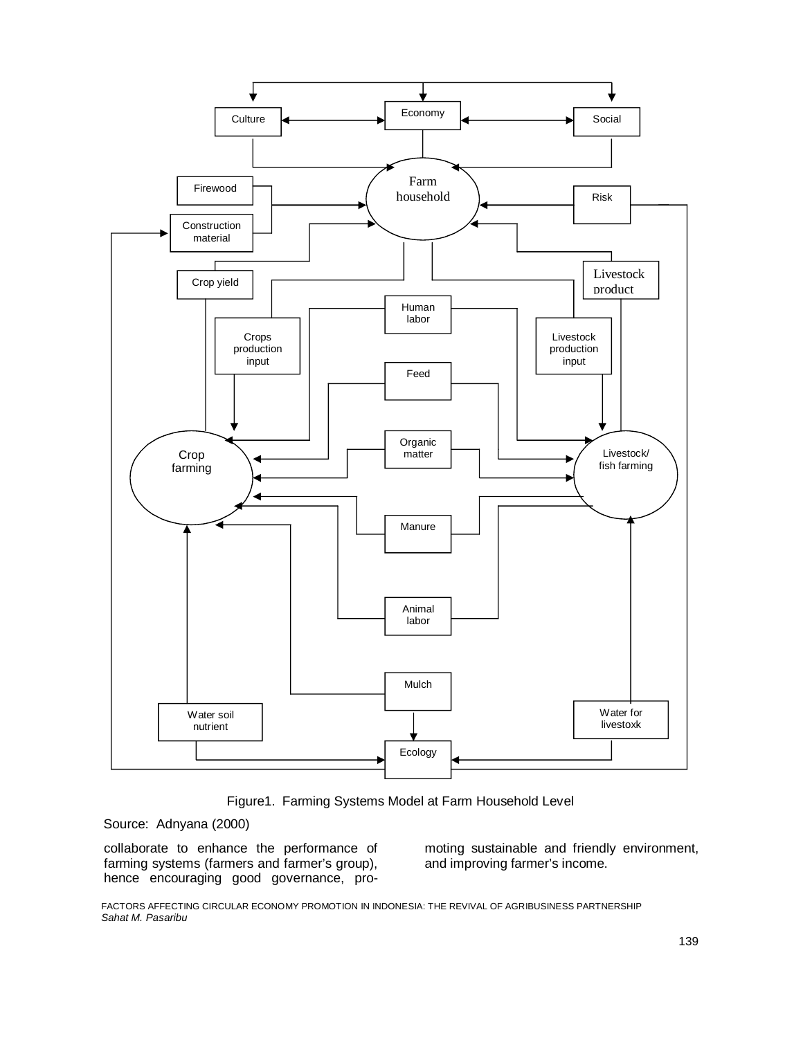

Figure1. Farming Systems Model at Farm Household Level

Source: Adnyana (2000)

collaborate to enhance the performance of farming systems (farmers and farmer's group), hence encouraging good governance, promoting sustainable and friendly environment, and improving farmer's income.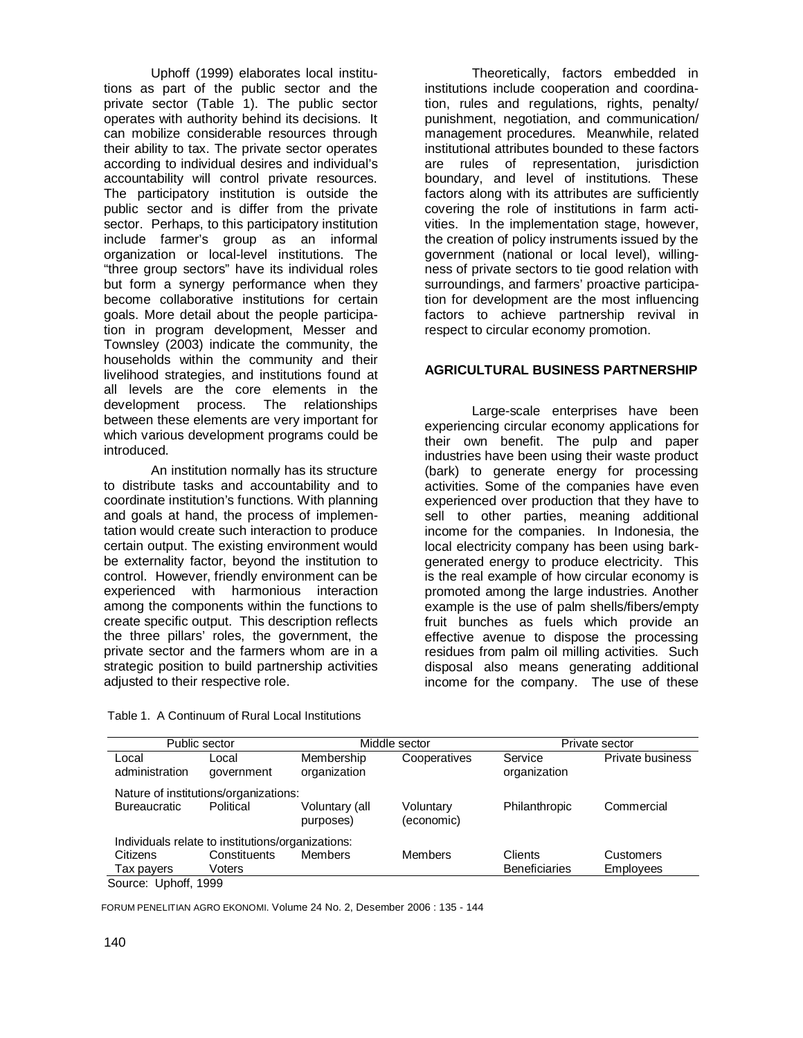Uphoff (1999) elaborates local institutions as part of the public sector and the private sector (Table 1). The public sector operates with authority behind its decisions. It can mobilize considerable resources through their ability to tax. The private sector operates according to individual desires and individual's accountability will control private resources. The participatory institution is outside the public sector and is differ from the private sector. Perhaps, to this participatory institution include farmer's group as an informal organization or local-level institutions. The "three group sectors" have its individual roles but form a synergy performance when they become collaborative institutions for certain goals. More detail about the people participation in program development, Messer and Townsley (2003) indicate the community, the households within the community and their livelihood strategies, and institutions found at all levels are the core elements in the development process. The relationships between these elements are very important for which various development programs could be introduced.

An institution normally has its structure to distribute tasks and accountability and to coordinate institution's functions. With planning and goals at hand, the process of implementation would create such interaction to produce certain output. The existing environment would be externality factor, beyond the institution to control. However, friendly environment can be experienced with harmonious interaction among the components within the functions to create specific output. This description reflects the three pillars' roles, the government, the private sector and the farmers whom are in a strategic position to build partnership activities adjusted to their respective role.

Table 1. A Continuum of Rural Local Institutions

Theoretically, factors embedded in institutions include cooperation and coordination, rules and regulations, rights, penalty/ punishment, negotiation, and communication/ management procedures. Meanwhile, related institutional attributes bounded to these factors are rules of representation, jurisdiction boundary, and level of institutions. These factors along with its attributes are sufficiently covering the role of institutions in farm activities. In the implementation stage, however, the creation of policy instruments issued by the government (national or local level), willingness of private sectors to tie good relation with surroundings, and farmers' proactive participation for development are the most influencing factors to achieve partnership revival in respect to circular economy promotion.

# **AGRICULTURAL BUSINESS PARTNERSHIP**

 Large-scale enterprises have been experiencing circular economy applications for their own benefit. The pulp and paper industries have been using their waste product (bark) to generate energy for processing activities. Some of the companies have even experienced over production that they have to sell to other parties, meaning additional income for the companies. In Indonesia, the local electricity company has been using barkgenerated energy to produce electricity. This is the real example of how circular economy is promoted among the large industries. Another example is the use of palm shells/fibers/empty fruit bunches as fuels which provide an effective avenue to dispose the processing residues from palm oil milling activities. Such disposal also means generating additional income for the company. The use of these

| Public sector                                     |                     | Middle sector               |                         | Private sector          |                         |  |
|---------------------------------------------------|---------------------|-----------------------------|-------------------------|-------------------------|-------------------------|--|
| Local<br>administration                           | ∟ocal<br>government | Membership<br>organization  | Cooperatives            | Service<br>organization | <b>Private business</b> |  |
| Nature of institutions/organizations:             |                     |                             |                         |                         |                         |  |
| <b>Bureaucratic</b>                               | Political           | Voluntary (all<br>purposes) | Voluntary<br>(economic) | Philanthropic           | Commercial              |  |
| Individuals relate to institutions/organizations: |                     |                             |                         |                         |                         |  |
| Citizens                                          | Constituents        | <b>Members</b>              | Members                 | Clients                 | Customers               |  |
| Tax payers                                        | Voters              |                             |                         | <b>Beneficiaries</b>    | <b>Employees</b>        |  |
| Source: Uphoff, 1999                              |                     |                             |                         |                         |                         |  |

FORUM PENELITIAN AGRO EKONOMI. Volume 24 No. 2, Desember 2006 : 135 - 144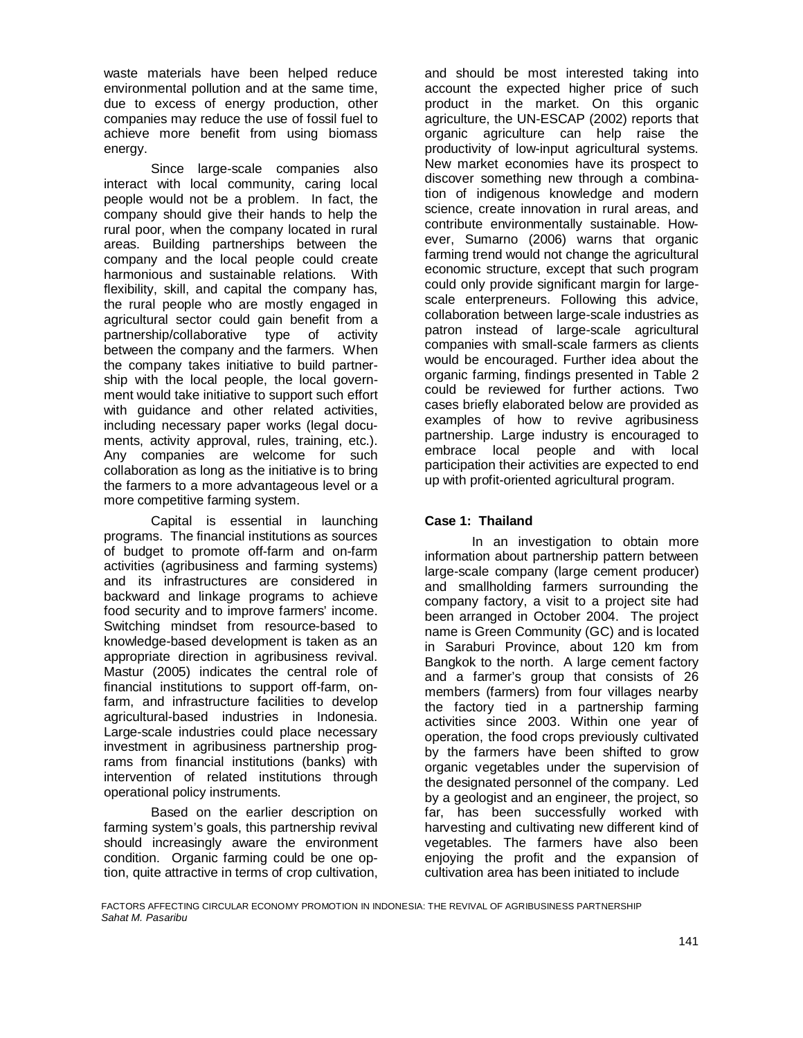waste materials have been helped reduce environmental pollution and at the same time, due to excess of energy production, other companies may reduce the use of fossil fuel to achieve more benefit from using biomass energy.

 Since large-scale companies also interact with local community, caring local people would not be a problem. In fact, the company should give their hands to help the rural poor, when the company located in rural areas. Building partnerships between the company and the local people could create harmonious and sustainable relations. With flexibility, skill, and capital the company has, the rural people who are mostly engaged in agricultural sector could gain benefit from a partnership/collaborative type of activity between the company and the farmers. When the company takes initiative to build partnership with the local people, the local government would take initiative to support such effort with guidance and other related activities, including necessary paper works (legal documents, activity approval, rules, training, etc.). Any companies are welcome for such collaboration as long as the initiative is to bring the farmers to a more advantageous level or a more competitive farming system.

Capital is essential in launching programs. The financial institutions as sources of budget to promote off-farm and on-farm activities (agribusiness and farming systems) and its infrastructures are considered in backward and linkage programs to achieve food security and to improve farmers' income. Switching mindset from resource-based to knowledge-based development is taken as an appropriate direction in agribusiness revival. Mastur (2005) indicates the central role of financial institutions to support off-farm, onfarm, and infrastructure facilities to develop agricultural-based industries in Indonesia. Large-scale industries could place necessary investment in agribusiness partnership programs from financial institutions (banks) with intervention of related institutions through operational policy instruments.

 Based on the earlier description on farming system's goals, this partnership revival should increasingly aware the environment condition. Organic farming could be one option, quite attractive in terms of crop cultivation,

and should be most interested taking into account the expected higher price of such product in the market. On this organic agriculture, the UN-ESCAP (2002) reports that organic agriculture can help raise the productivity of low-input agricultural systems. New market economies have its prospect to discover something new through a combination of indigenous knowledge and modern science, create innovation in rural areas, and contribute environmentally sustainable. However, Sumarno (2006) warns that organic farming trend would not change the agricultural economic structure, except that such program could only provide significant margin for largescale enterpreneurs. Following this advice, collaboration between large-scale industries as patron instead of large-scale agricultural companies with small-scale farmers as clients would be encouraged. Further idea about the organic farming, findings presented in Table 2 could be reviewed for further actions. Two cases briefly elaborated below are provided as examples of how to revive agribusiness partnership. Large industry is encouraged to embrace local people and with local participation their activities are expected to end up with profit-oriented agricultural program.

### **Case 1: Thailand**

In an investigation to obtain more information about partnership pattern between large-scale company (large cement producer) and smallholding farmers surrounding the company factory, a visit to a project site had been arranged in October 2004. The project name is Green Community (GC) and is located in Saraburi Province, about 120 km from Bangkok to the north. A large cement factory and a farmer's group that consists of 26 members (farmers) from four villages nearby the factory tied in a partnership farming activities since 2003. Within one year of operation, the food crops previously cultivated by the farmers have been shifted to grow organic vegetables under the supervision of the designated personnel of the company. Led by a geologist and an engineer, the project, so far, has been successfully worked with harvesting and cultivating new different kind of vegetables. The farmers have also been enjoying the profit and the expansion of cultivation area has been initiated to include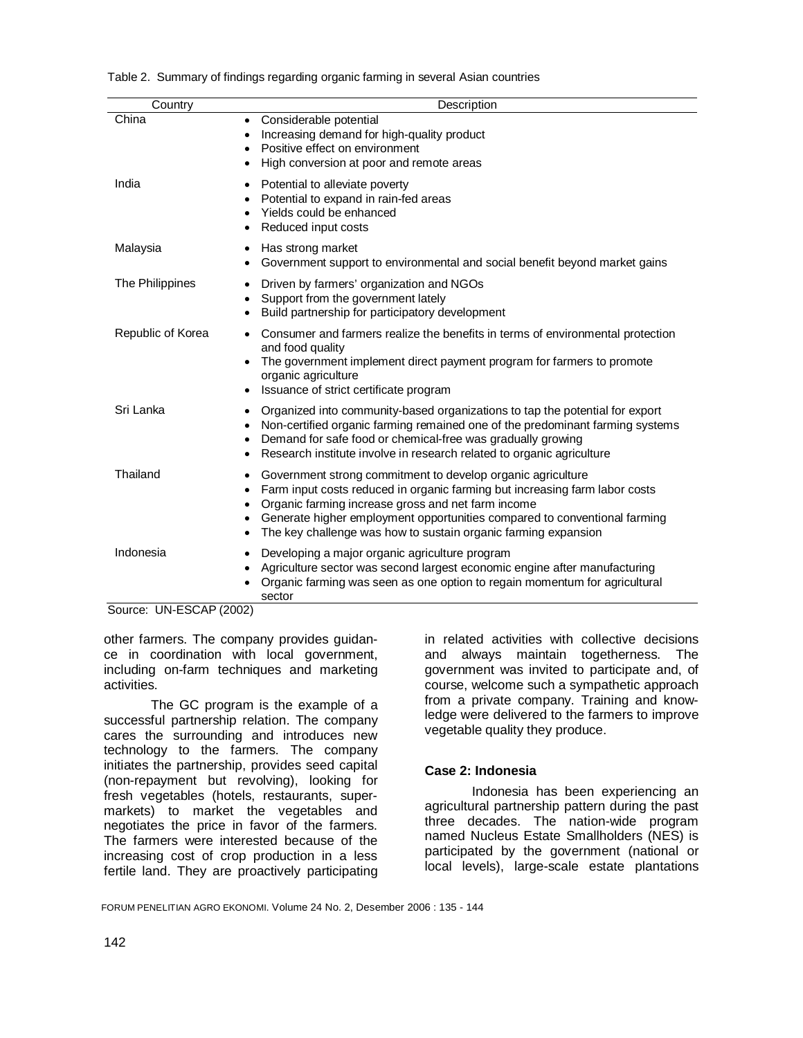| Country           | Description                                                                                                                                                                                                                                                                                                                                                                         |
|-------------------|-------------------------------------------------------------------------------------------------------------------------------------------------------------------------------------------------------------------------------------------------------------------------------------------------------------------------------------------------------------------------------------|
| China             | Considerable potential<br>$\bullet$<br>Increasing demand for high-quality product<br>$\bullet$<br>Positive effect on environment<br>$\bullet$<br>High conversion at poor and remote areas<br>٠                                                                                                                                                                                      |
| India             | Potential to alleviate poverty<br>$\bullet$<br>Potential to expand in rain-fed areas<br>Yields could be enhanced<br>Reduced input costs                                                                                                                                                                                                                                             |
| Malaysia          | Has strong market<br>$\bullet$<br>Government support to environmental and social benefit beyond market gains<br>$\bullet$                                                                                                                                                                                                                                                           |
| The Philippines   | Driven by farmers' organization and NGOs<br>٠<br>Support from the government lately<br>$\bullet$<br>Build partnership for participatory development                                                                                                                                                                                                                                 |
| Republic of Korea | Consumer and farmers realize the benefits in terms of environmental protection<br>and food quality<br>The government implement direct payment program for farmers to promote<br>organic agriculture<br>Issuance of strict certificate program<br>٠                                                                                                                                  |
| Sri Lanka         | Organized into community-based organizations to tap the potential for export<br>$\bullet$<br>Non-certified organic farming remained one of the predominant farming systems<br>$\bullet$<br>Demand for safe food or chemical-free was gradually growing<br>٠<br>Research institute involve in research related to organic agriculture<br>٠                                           |
| Thailand          | Government strong commitment to develop organic agriculture<br>$\bullet$<br>Farm input costs reduced in organic farming but increasing farm labor costs<br>$\bullet$<br>Organic farming increase gross and net farm income<br>Generate higher employment opportunities compared to conventional farming<br>٠<br>The key challenge was how to sustain organic farming expansion<br>٠ |
| Indonesia         | Developing a major organic agriculture program<br>$\bullet$<br>Agriculture sector was second largest economic engine after manufacturing<br>Organic farming was seen as one option to regain momentum for agricultural<br>sector                                                                                                                                                    |

Table 2. Summary of findings regarding organic farming in several Asian countries

Source: UN-ESCAP (2002)

other farmers. The company provides guidance in coordination with local government, including on-farm techniques and marketing activities.

The GC program is the example of a successful partnership relation. The company cares the surrounding and introduces new technology to the farmers. The company initiates the partnership, provides seed capital (non-repayment but revolving), looking for fresh vegetables (hotels, restaurants, supermarkets) to market the vegetables and negotiates the price in favor of the farmers. The farmers were interested because of the increasing cost of crop production in a less fertile land. They are proactively participating

in related activities with collective decisions and always maintain togetherness. The government was invited to participate and, of course, welcome such a sympathetic approach from a private company. Training and knowledge were delivered to the farmers to improve vegetable quality they produce.

### **Case 2: Indonesia**

Indonesia has been experiencing an agricultural partnership pattern during the past three decades. The nation-wide program named Nucleus Estate Smallholders (NES) is participated by the government (national or local levels), large-scale estate plantations

FORUM PENELITIAN AGRO EKONOMI. Volume 24 No. 2, Desember 2006 : 135 - 144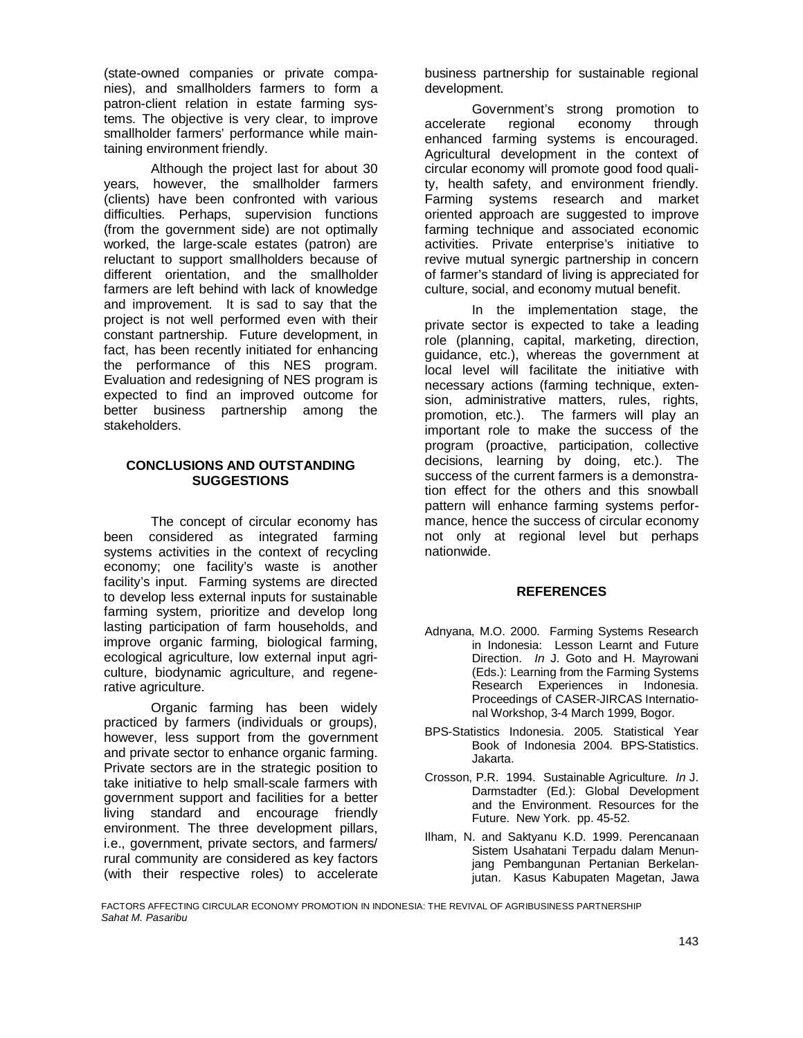(state-owned companies or private companies), and smallholders farmers to form a patron-client relation in estate farming systems. The objective is very clear, to improve smallholder farmers' performance while maintaining environment friendly.

 Although the project last for about 30 years, however, the smallholder farmers (clients) have been confronted with various difficulties. Perhaps, supervision functions (from the government side) are not optimally worked, the large-scale estates (patron) are reluctant to support smallholders because of different orientation, and the smallholder farmers are left behind with lack of knowledge and improvement. It is sad to say that the project is not well performed even with their constant partnership. Future development, in fact, has been recently initiated for enhancing the performance of this NES program. Evaluation and redesigning of NES program is expected to find an improved outcome for better business partnership among the stakeholders.

### **CONCLUSIONS AND OUTSTANDING SUGGESTIONS**

The concept of circular economy has been considered as integrated farming systems activities in the context of recycling economy; one facility's waste is another facility's input. Farming systems are directed to develop less external inputs for sustainable farming system, prioritize and develop long lasting participation of farm households, and improve organic farming, biological farming, ecological agriculture, low external input agriculture, biodynamic agriculture, and regenerative agriculture.

 Organic farming has been widely practiced by farmers (individuals or groups), however, less support from the government and private sector to enhance organic farming. Private sectors are in the strategic position to take initiative to help small-scale farmers with government support and facilities for a better living standard and encourage friendly environment. The three development pillars, i.e., government, private sectors, and farmers/ rural community are considered as key factors (with their respective roles) to accelerate

business partnership for sustainable regional development.

Government's strong promotion to accelerate regional economy through enhanced farming systems is encouraged. Agricultural development in the context of circular economy will promote good food quality, health safety, and environment friendly. Farming systems research and market oriented approach are suggested to improve farming technique and associated economic activities. Private enterprise's initiative to revive mutual synergic partnership in concern of farmer's standard of living is appreciated for culture, social, and economy mutual benefit.

 In the implementation stage, the private sector is expected to take a leading role (planning, capital, marketing, direction, guidance, etc.), whereas the government at local level will facilitate the initiative with necessary actions (farming technique, extension, administrative matters, rules, rights, promotion, etc.). The farmers will play an important role to make the success of the program (proactive, participation, collective decisions, learning by doing, etc.). The success of the current farmers is a demonstration effect for the others and this snowball pattern will enhance farming systems performance, hence the success of circular economy not only at regional level but perhaps nationwide.

# **REFERENCES**

- Adnyana, M.O. 2000. Farming Systems Research in Indonesia: Lesson Learnt and Future Direction. *In* J. Goto and H. Mayrowani (Eds.): Learning from the Farming Systems Research Experiences in Indonesia. Proceedings of CASER-JIRCAS International Workshop, 3-4 March 1999, Bogor.
- BPS-Statistics Indonesia. 2005. Statistical Year Book of Indonesia 2004. BPS-Statistics. Jakarta.
- Crosson, P.R. 1994. Sustainable Agriculture. *In* J. Darmstadter (Ed.): Global Development and the Environment. Resources for the Future. New York. pp. 45-52.
- Ilham, N. and Saktyanu K.D. 1999. Perencanaan Sistem Usahatani Terpadu dalam Menunjang Pembangunan Pertanian Berkelanjutan. Kasus Kabupaten Magetan, Jawa